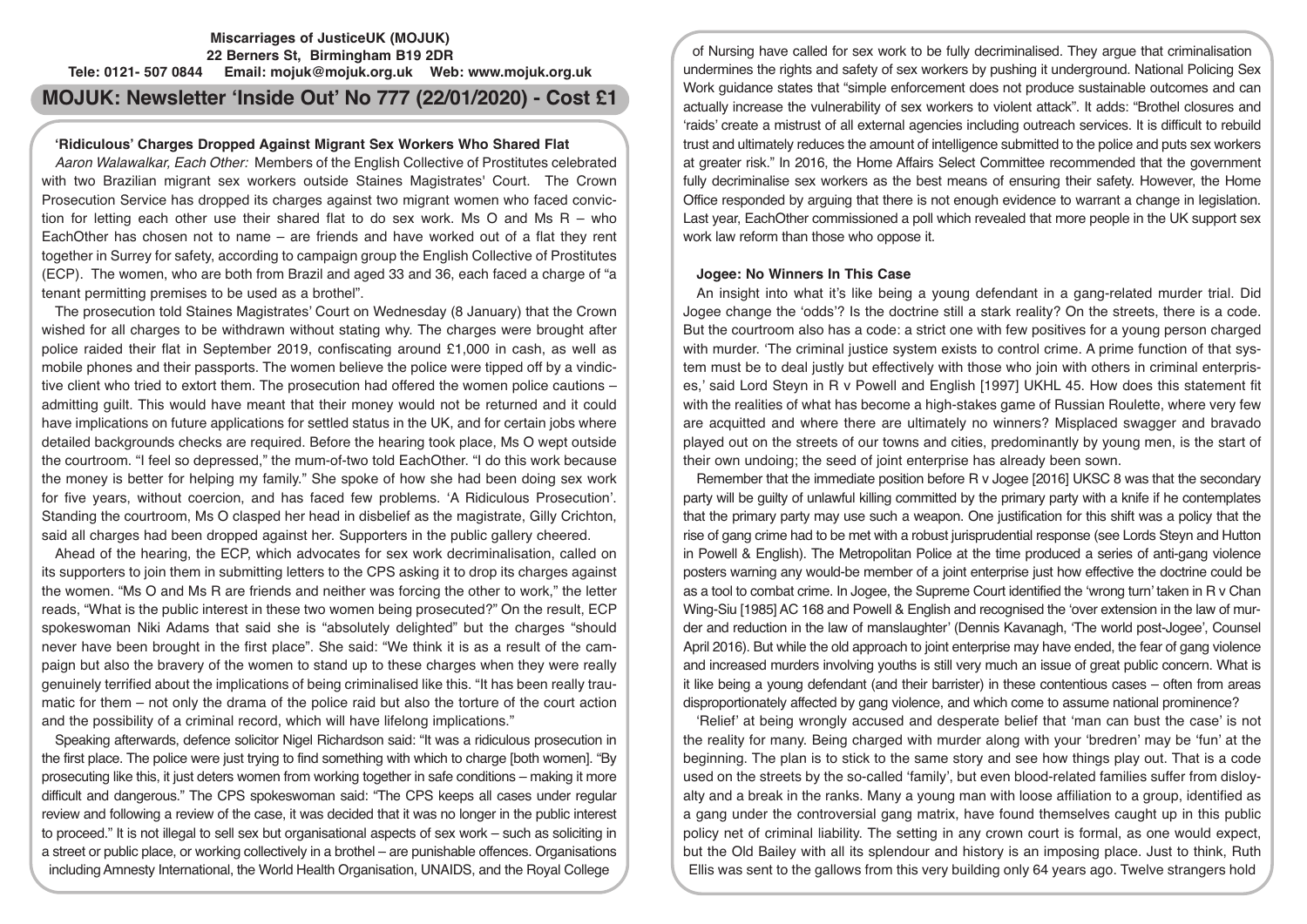# **Miscarriages of JusticeUK (MOJUK) 22 Berners St, Birmingham B19 2DR Tele: 0121- 507 0844 Email: mojuk@mojuk.org.uk Web: www.mojuk.org.uk**

# **MOJUK: Newsletter 'Inside Out' No 777 (22/01/2020) - Cost £1**

# **'Ridiculous' Charges Dropped Against Migrant Sex Workers Who Shared Flat**

Aaron Walawalkar, Each Other: Members of the English Collective of Prostitutes celebrated with two Brazilian migrant sex workers outside Staines Magistrates' Court. The Crown Prosecution Service has dropped its charges against two migrant women who faced conviction for letting each other use their shared flat to do sex work. Ms O and Ms R – who EachOther has chosen not to name – are friends and have worked out of a flat they rent together in Surrey for safety, according to campaign group the English Collective of Prostitutes (ECP). The women, who are both from Brazil and aged 33 and 36, each faced a charge of "a tenant permitting premises to be used as a brothel".

The prosecution told Staines Magistrates' Court on Wednesday (8 January) that the Crown wished for all charges to be withdrawn without stating why. The charges were brought after police raided their flat in September 2019, confiscating around £1,000 in cash, as well as mobile phones and their passports. The women believe the police were tipped off by a vindictive client who tried to extort them. The prosecution had offered the women police cautions – admitting guilt. This would have meant that their money would not be returned and it could have implications on future applications for settled status in the UK, and for certain jobs where detailed backgrounds checks are required. Before the hearing took place, Ms O wept outside the courtroom. "I feel so depressed," the mum-of-two told EachOther. "I do this work because the money is better for helping my family." She spoke of how she had been doing sex work for five years, without coercion, and has faced few problems. 'A Ridiculous Prosecution'. Standing the courtroom, Ms O clasped her head in disbelief as the magistrate, Gilly Crichton, said all charges had been dropped against her. Supporters in the public gallery cheered.

Ahead of the hearing, the ECP, which advocates for sex work decriminalisation, called on its supporters to join them in submitting letters to the CPS asking it to drop its charges against the women. "Ms O and Ms R are friends and neither was forcing the other to work," the letter reads, "What is the public interest in these two women being prosecuted?" On the result, ECP spokeswoman Niki Adams that said she is "absolutely delighted" but the charges "should never have been brought in the first place". She said: "We think it is as a result of the campaign but also the bravery of the women to stand up to these charges when they were really genuinely terrified about the implications of being criminalised like this. "It has been really traumatic for them – not only the drama of the police raid but also the torture of the court action and the possibility of a criminal record, which will have lifelong implications."

Speaking afterwards, defence solicitor Nigel Richardson said: "It was a ridiculous prosecution in the first place. The police were just trying to find something with which to charge [both women]. "By prosecuting like this, it just deters women from working together in safe conditions – making it more difficult and dangerous." The CPS spokeswoman said: "The CPS keeps all cases under regular review and following a review of the case, it was decided that it was no longer in the public interest to proceed." It is not illegal to sell sex but organisational aspects of sex work – such as soliciting in a street or public place, or working collectively in a brothel – are punishable offences. Organisations including Amnesty International, the World Health Organisation, UNAIDS, and the Royal College

of Nursing have called for sex work to be fully decriminalised. They argue that criminalisation undermines the rights and safety of sex workers by pushing it underground. National Policing Sex Work guidance states that "simple enforcement does not produce sustainable outcomes and can actually increase the vulnerability of sex workers to violent attack". It adds: "Brothel closures and 'raids' create a mistrust of all external agencies including outreach services. It is difficult to rebuild trust and ultimately reduces the amount of intelligence submitted to the police and puts sex workers at greater risk." In 2016, the Home Affairs Select Committee recommended that the government fully decriminalise sex workers as the best means of ensuring their safety. However, the Home Office responded by arguing that there is not enough evidence to warrant a change in legislation. Last year, EachOther commissioned a poll which revealed that more people in the UK support sex work law reform than those who oppose it.

# **Jogee: No Winners In This Case**

An insight into what it's like being a young defendant in a gang-related murder trial. Did Jogee change the 'odds'? Is the doctrine still a stark reality? On the streets, there is a code. But the courtroom also has a code: a strict one with few positives for a young person charged with murder. 'The criminal justice system exists to control crime. A prime function of that system must be to deal justly but effectively with those who join with others in criminal enterprises,' said Lord Steyn in R v Powell and English [1997] UKHL 45. How does this statement fit with the realities of what has become a high-stakes game of Russian Roulette, where very few are acquitted and where there are ultimately no winners? Misplaced swagger and bravado played out on the streets of our towns and cities, predominantly by young men, is the start of their own undoing; the seed of joint enterprise has already been sown.

Remember that the immediate position before R v Jogee [2016] UKSC 8 was that the secondary party will be guilty of unlawful killing committed by the primary party with a knife if he contemplates that the primary party may use such a weapon. One justification for this shift was a policy that the rise of gang crime had to be met with a robust jurisprudential response (see Lords Steyn and Hutton in Powell & English). The Metropolitan Police at the time produced a series of anti-gang violence posters warning any would-be member of a joint enterprise just how effective the doctrine could be as a tool to combat crime. In Jogee, the Supreme Court identified the 'wrong turn' taken in R v Chan Wing-Siu [1985] AC 168 and Powell & English and recognised the 'over extension in the law of murder and reduction in the law of manslaughter' (Dennis Kavanagh, 'The world post-Jogee', Counsel April 2016). But while the old approach to joint enterprise may have ended, the fear of gang violence and increased murders involving youths is still very much an issue of great public concern. What is it like being a young defendant (and their barrister) in these contentious cases – often from areas disproportionately affected by gang violence, and which come to assume national prominence?

'Relief' at being wrongly accused and desperate belief that 'man can bust the case' is not the reality for many. Being charged with murder along with your 'bredren' may be 'fun' at the beginning. The plan is to stick to the same story and see how things play out. That is a code used on the streets by the so-called 'family', but even blood-related families suffer from disloyalty and a break in the ranks. Many a young man with loose affiliation to a group, identified as a gang under the controversial gang matrix, have found themselves caught up in this public policy net of criminal liability. The setting in any crown court is formal, as one would expect, but the Old Bailey with all its splendour and history is an imposing place. Just to think, Ruth Ellis was sent to the gallows from this very building only 64 years ago. Twelve strangers hold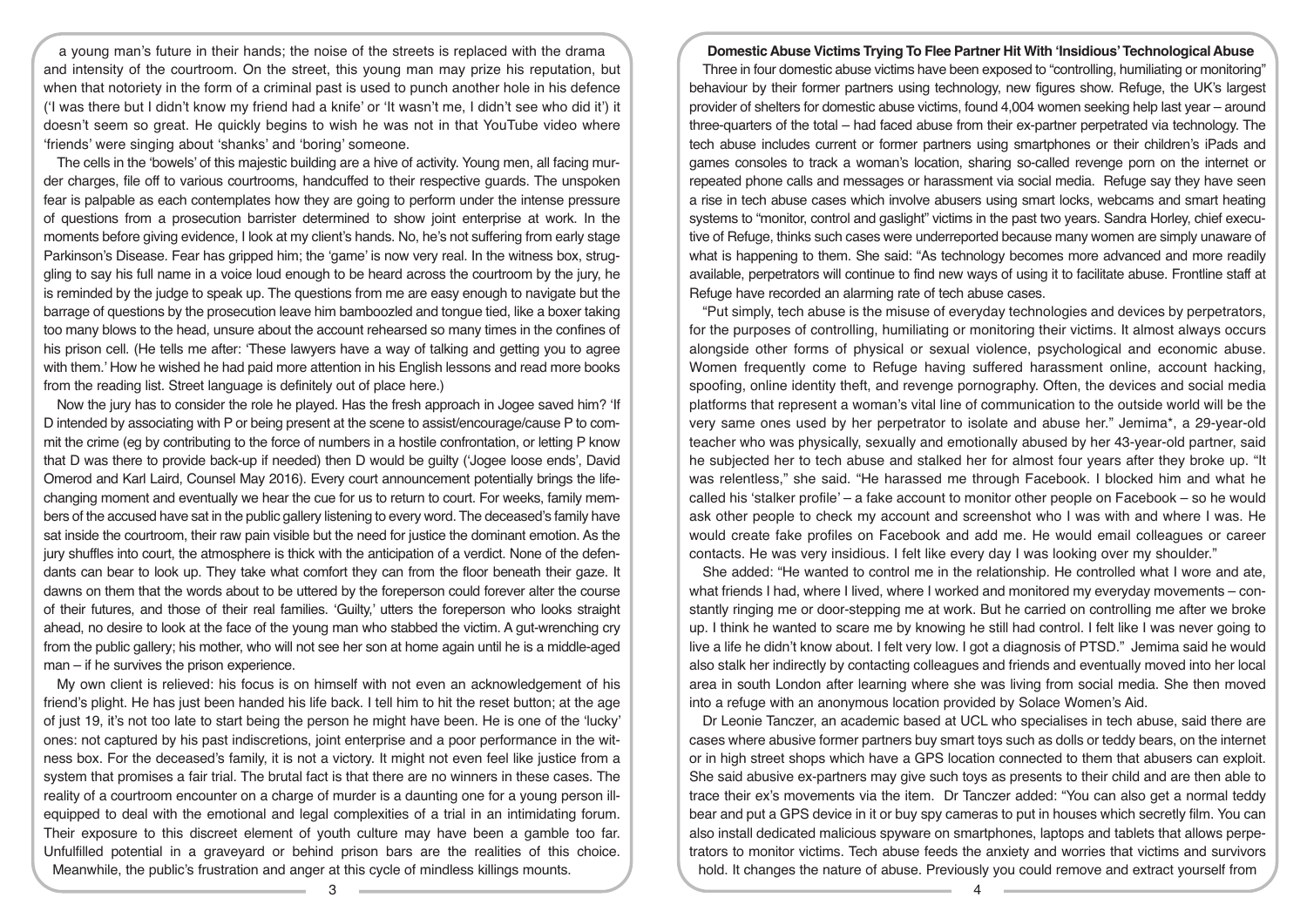a young man's future in their hands; the noise of the streets is replaced with the drama and intensity of the courtroom. On the street, this young man may prize his reputation, but when that notoriety in the form of a criminal past is used to punch another hole in his defence ('I was there but I didn't know my friend had a knife' or 'It wasn't me, I didn't see who did it') it doesn't seem so great. He quickly begins to wish he was not in that YouTube video where 'friends' were singing about 'shanks' and 'boring' someone.

The cells in the 'bowels' of this majestic building are a hive of activity. Young men, all facing murder charges, file off to various courtrooms, handcuffed to their respective guards. The unspoken fear is palpable as each contemplates how they are going to perform under the intense pressure of questions from a prosecution barrister determined to show joint enterprise at work. In the moments before giving evidence, I look at my client's hands. No, he's not suffering from early stage Parkinson's Disease. Fear has gripped him; the 'game' is now very real. In the witness box, struggling to say his full name in a voice loud enough to be heard across the courtroom by the jury, he is reminded by the judge to speak up. The questions from me are easy enough to navigate but the barrage of questions by the prosecution leave him bamboozled and tongue tied, like a boxer taking too many blows to the head, unsure about the account rehearsed so many times in the confines of his prison cell. (He tells me after: 'These lawyers have a way of talking and getting you to agree with them.' How he wished he had paid more attention in his English lessons and read more books from the reading list. Street language is definitely out of place here.)

Now the jury has to consider the role he played. Has the fresh approach in Jogee saved him? 'If D intended by associating with P or being present at the scene to assist/encourage/cause P to commit the crime (eg by contributing to the force of numbers in a hostile confrontation, or letting P know that D was there to provide back-up if needed) then D would be guilty ('Jogee loose ends', David Omerod and Karl Laird, Counsel May 2016). Every court announcement potentially brings the lifechanging moment and eventually we hear the cue for us to return to court. For weeks, family members of the accused have sat in the public gallery listening to every word. The deceased's family have sat inside the courtroom, their raw pain visible but the need for justice the dominant emotion. As the jury shuffles into court, the atmosphere is thick with the anticipation of a verdict. None of the defendants can bear to look up. They take what comfort they can from the floor beneath their gaze. It dawns on them that the words about to be uttered by the foreperson could forever alter the course of their futures, and those of their real families. 'Guilty,' utters the foreperson who looks straight ahead, no desire to look at the face of the young man who stabbed the victim. A gut-wrenching cry from the public gallery; his mother, who will not see her son at home again until he is a middle-aged man – if he survives the prison experience.

My own client is relieved: his focus is on himself with not even an acknowledgement of his friend's plight. He has just been handed his life back. I tell him to hit the reset button; at the age of just 19, it's not too late to start being the person he might have been. He is one of the 'lucky' ones: not captured by his past indiscretions, joint enterprise and a poor performance in the witness box. For the deceased's family, it is not a victory. It might not even feel like justice from a system that promises a fair trial. The brutal fact is that there are no winners in these cases. The reality of a courtroom encounter on a charge of murder is a daunting one for a young person illequipped to deal with the emotional and legal complexities of a trial in an intimidating forum. Their exposure to this discreet element of youth culture may have been a gamble too far. Unfulfilled potential in a graveyard or behind prison bars are the realities of this choice. Meanwhile, the public's frustration and anger at this cycle of mindless killings mounts.

#### **Domestic Abuse Victims Trying To Flee Partner Hit With 'Insidious' Technological Abuse**

Three in four domestic abuse victims have been exposed to "controlling, humiliating or monitoring" behaviour by their former partners using technology, new figures show. Refuge, the UK's largest provider of shelters for domestic abuse victims, found 4,004 women seeking help last year – around three-quarters of the total – had faced abuse from their ex-partner perpetrated via technology. The tech abuse includes current or former partners using smartphones or their children's iPads and games consoles to track a woman's location, sharing so-called revenge porn on the internet or repeated phone calls and messages or harassment via social media. Refuge say they have seen a rise in tech abuse cases which involve abusers using smart locks, webcams and smart heating systems to "monitor, control and gaslight" victims in the past two years. Sandra Horley, chief executive of Refuge, thinks such cases were underreported because many women are simply unaware of what is happening to them. She said: "As technology becomes more advanced and more readily available, perpetrators will continue to find new ways of using it to facilitate abuse. Frontline staff at Refuge have recorded an alarming rate of tech abuse cases.

"Put simply, tech abuse is the misuse of everyday technologies and devices by perpetrators, for the purposes of controlling, humiliating or monitoring their victims. It almost always occurs alongside other forms of physical or sexual violence, psychological and economic abuse. Women frequently come to Refuge having suffered harassment online, account hacking, spoofing, online identity theft, and revenge pornography. Often, the devices and social media platforms that represent a woman's vital line of communication to the outside world will be the very same ones used by her perpetrator to isolate and abuse her." Jemima\*, a 29-year-old teacher who was physically, sexually and emotionally abused by her 43-year-old partner, said he subjected her to tech abuse and stalked her for almost four years after they broke up. "It was relentless," she said. "He harassed me through Facebook. I blocked him and what he called his 'stalker profile' – a fake account to monitor other people on Facebook – so he would ask other people to check my account and screenshot who I was with and where I was. He would create fake profiles on Facebook and add me. He would email colleagues or career contacts. He was very insidious. I felt like every day I was looking over my shoulder."

She added: "He wanted to control me in the relationship. He controlled what I wore and ate, what friends I had, where I lived, where I worked and monitored my everyday movements – constantly ringing me or door-stepping me at work. But he carried on controlling me after we broke up. I think he wanted to scare me by knowing he still had control. I felt like I was never going to live a life he didn't know about. I felt very low. I got a diagnosis of PTSD." Jemima said he would also stalk her indirectly by contacting colleagues and friends and eventually moved into her local area in south London after learning where she was living from social media. She then moved into a refuge with an anonymous location provided by Solace Women's Aid.

Dr Leonie Tanczer, an academic based at UCL who specialises in tech abuse, said there are cases where abusive former partners buy smart toys such as dolls or teddy bears, on the internet or in high street shops which have a GPS location connected to them that abusers can exploit. She said abusive ex-partners may give such toys as presents to their child and are then able to trace their ex's movements via the item. Dr Tanczer added: "You can also get a normal teddy bear and put a GPS device in it or buy spy cameras to put in houses which secretly film. You can also install dedicated malicious spyware on smartphones, laptops and tablets that allows perpetrators to monitor victims. Tech abuse feeds the anxiety and worries that victims and survivors hold. It changes the nature of abuse. Previously you could remove and extract yourself from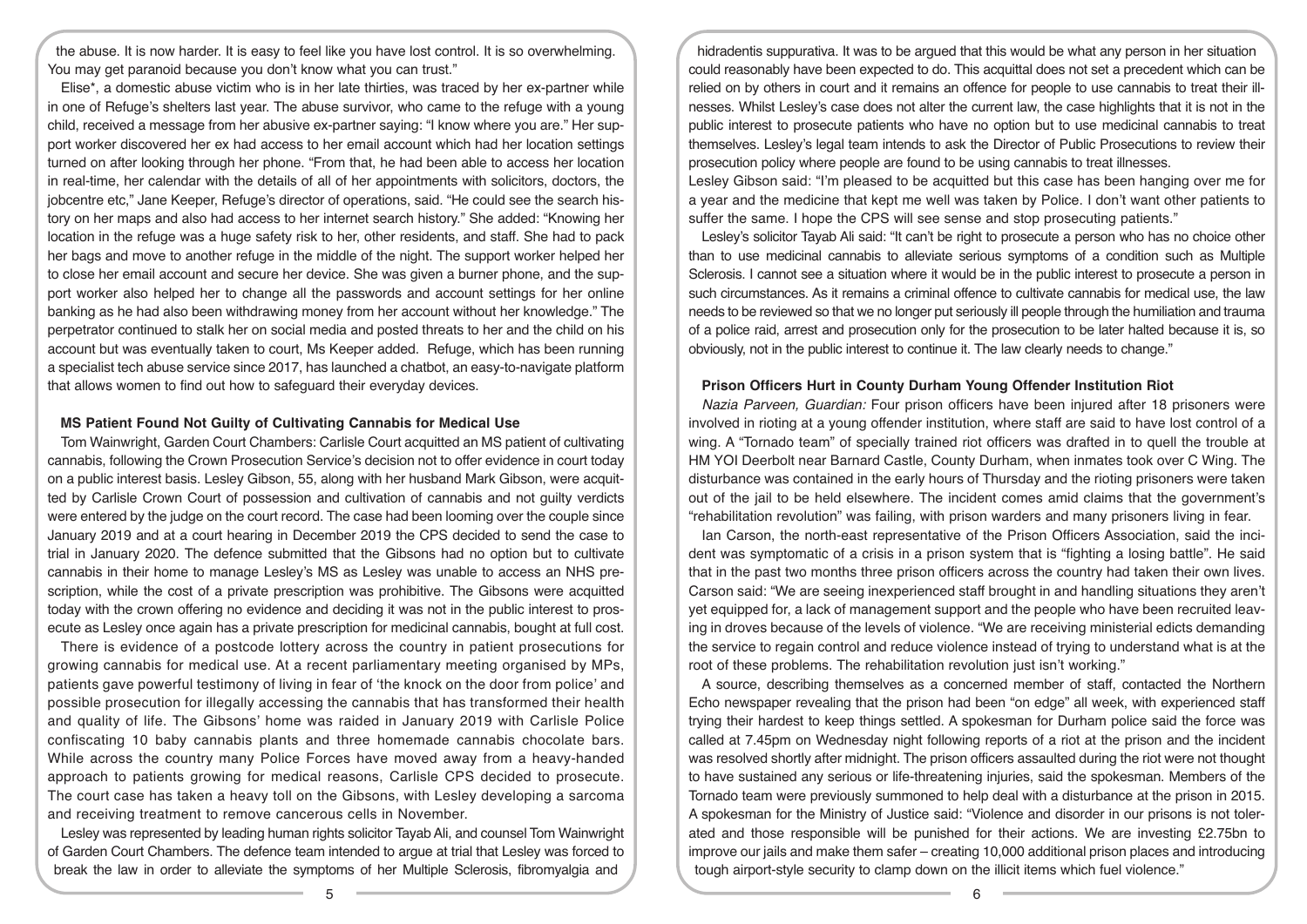the abuse. It is now harder. It is easy to feel like you have lost control. It is so overwhelming. You may get paranoid because you don't know what you can trust."

Elise\*, a domestic abuse victim who is in her late thirties, was traced by her ex-partner while in one of Refuge's shelters last year. The abuse survivor, who came to the refuge with a young child, received a message from her abusive ex-partner saying: "I know where you are." Her support worker discovered her ex had access to her email account which had her location settings turned on after looking through her phone. "From that, he had been able to access her location in real-time, her calendar with the details of all of her appointments with solicitors, doctors, the jobcentre etc," Jane Keeper, Refuge's director of operations, said. "He could see the search history on her maps and also had access to her internet search history." She added: "Knowing her location in the refuge was a huge safety risk to her, other residents, and staff. She had to pack her bags and move to another refuge in the middle of the night. The support worker helped her to close her email account and secure her device. She was given a burner phone, and the support worker also helped her to change all the passwords and account settings for her online banking as he had also been withdrawing money from her account without her knowledge." The perpetrator continued to stalk her on social media and posted threats to her and the child on his account but was eventually taken to court, Ms Keeper added. Refuge, which has been running a specialist tech abuse service since 2017, has launched a chatbot, an easy-to-navigate platform that allows women to find out how to safeguard their everyday devices.

# **MS Patient Found Not Guilty of Cultivating Cannabis for Medical Use**

Tom Wainwright, Garden Court Chambers: Carlisle Court acquitted an MS patient of cultivating cannabis, following the Crown Prosecution Service's decision not to offer evidence in court today on a public interest basis. Lesley Gibson, 55, along with her husband Mark Gibson, were acquitted by Carlisle Crown Court of possession and cultivation of cannabis and not guilty verdicts were entered by the judge on the court record. The case had been looming over the couple since January 2019 and at a court hearing in December 2019 the CPS decided to send the case to trial in January 2020. The defence submitted that the Gibsons had no option but to cultivate cannabis in their home to manage Lesley's MS as Lesley was unable to access an NHS prescription, while the cost of a private prescription was prohibitive. The Gibsons were acquitted today with the crown offering no evidence and deciding it was not in the public interest to prosecute as Lesley once again has a private prescription for medicinal cannabis, bought at full cost.

There is evidence of a postcode lottery across the country in patient prosecutions for growing cannabis for medical use. At a recent parliamentary meeting organised by MPs, patients gave powerful testimony of living in fear of 'the knock on the door from police' and possible prosecution for illegally accessing the cannabis that has transformed their health and quality of life. The Gibsons' home was raided in January 2019 with Carlisle Police confiscating 10 baby cannabis plants and three homemade cannabis chocolate bars. While across the country many Police Forces have moved away from a heavy-handed approach to patients growing for medical reasons, Carlisle CPS decided to prosecute. The court case has taken a heavy toll on the Gibsons, with Lesley developing a sarcoma and receiving treatment to remove cancerous cells in November.

Lesley was represented by leading human rights solicitor Tayab Ali, and counsel Tom Wainwright of Garden Court Chambers. The defence team intended to argue at trial that Lesley was forced to break the law in order to alleviate the symptoms of her Multiple Sclerosis, fibromyalgia and

hidradentis suppurativa. It was to be argued that this would be what any person in her situation could reasonably have been expected to do. This acquittal does not set a precedent which can be relied on by others in court and it remains an offence for people to use cannabis to treat their illnesses. Whilst Lesley's case does not alter the current law, the case highlights that it is not in the public interest to prosecute patients who have no option but to use medicinal cannabis to treat themselves. Lesley's legal team intends to ask the Director of Public Prosecutions to review their prosecution policy where people are found to be using cannabis to treat illnesses.

Lesley Gibson said: "I'm pleased to be acquitted but this case has been hanging over me for a year and the medicine that kept me well was taken by Police. I don't want other patients to suffer the same. I hope the CPS will see sense and stop prosecuting patients."

Lesley's solicitor Tayab Ali said: "It can't be right to prosecute a person who has no choice other than to use medicinal cannabis to alleviate serious symptoms of a condition such as Multiple Sclerosis. I cannot see a situation where it would be in the public interest to prosecute a person in such circumstances. As it remains a criminal offence to cultivate cannabis for medical use, the law needs to be reviewed so that we no longer put seriously ill people through the humiliation and trauma of a police raid, arrest and prosecution only for the prosecution to be later halted because it is, so obviously, not in the public interest to continue it. The law clearly needs to change."

#### **Prison Officers Hurt in County Durham Young Offender Institution Riot**

Nazia Parveen, Guardian: Four prison officers have been injured after 18 prisoners were involved in rioting at a young offender institution, where staff are said to have lost control of a wing. A "Tornado team" of specially trained riot officers was drafted in to quell the trouble at HM YOI Deerbolt near Barnard Castle, County Durham, when inmates took over C Wing. The disturbance was contained in the early hours of Thursday and the rioting prisoners were taken out of the jail to be held elsewhere. The incident comes amid claims that the government's "rehabilitation revolution" was failing, with prison warders and many prisoners living in fear.

Ian Carson, the north-east representative of the Prison Officers Association, said the incident was symptomatic of a crisis in a prison system that is "fighting a losing battle". He said that in the past two months three prison officers across the country had taken their own lives. Carson said: "We are seeing inexperienced staff brought in and handling situations they aren't yet equipped for, a lack of management support and the people who have been recruited leaving in droves because of the levels of violence. "We are receiving ministerial edicts demanding the service to regain control and reduce violence instead of trying to understand what is at the root of these problems. The rehabilitation revolution just isn't working."

A source, describing themselves as a concerned member of staff, contacted the Northern Echo newspaper revealing that the prison had been "on edge" all week, with experienced staff trying their hardest to keep things settled. A spokesman for Durham police said the force was called at 7.45pm on Wednesday night following reports of a riot at the prison and the incident was resolved shortly after midnight. The prison officers assaulted during the riot were not thought to have sustained any serious or life-threatening injuries, said the spokesman. Members of the Tornado team were previously summoned to help deal with a disturbance at the prison in 2015. A spokesman for the Ministry of Justice said: "Violence and disorder in our prisons is not tolerated and those responsible will be punished for their actions. We are investing £2.75bn to improve our jails and make them safer – creating 10,000 additional prison places and introducing tough airport-style security to clamp down on the illicit items which fuel violence."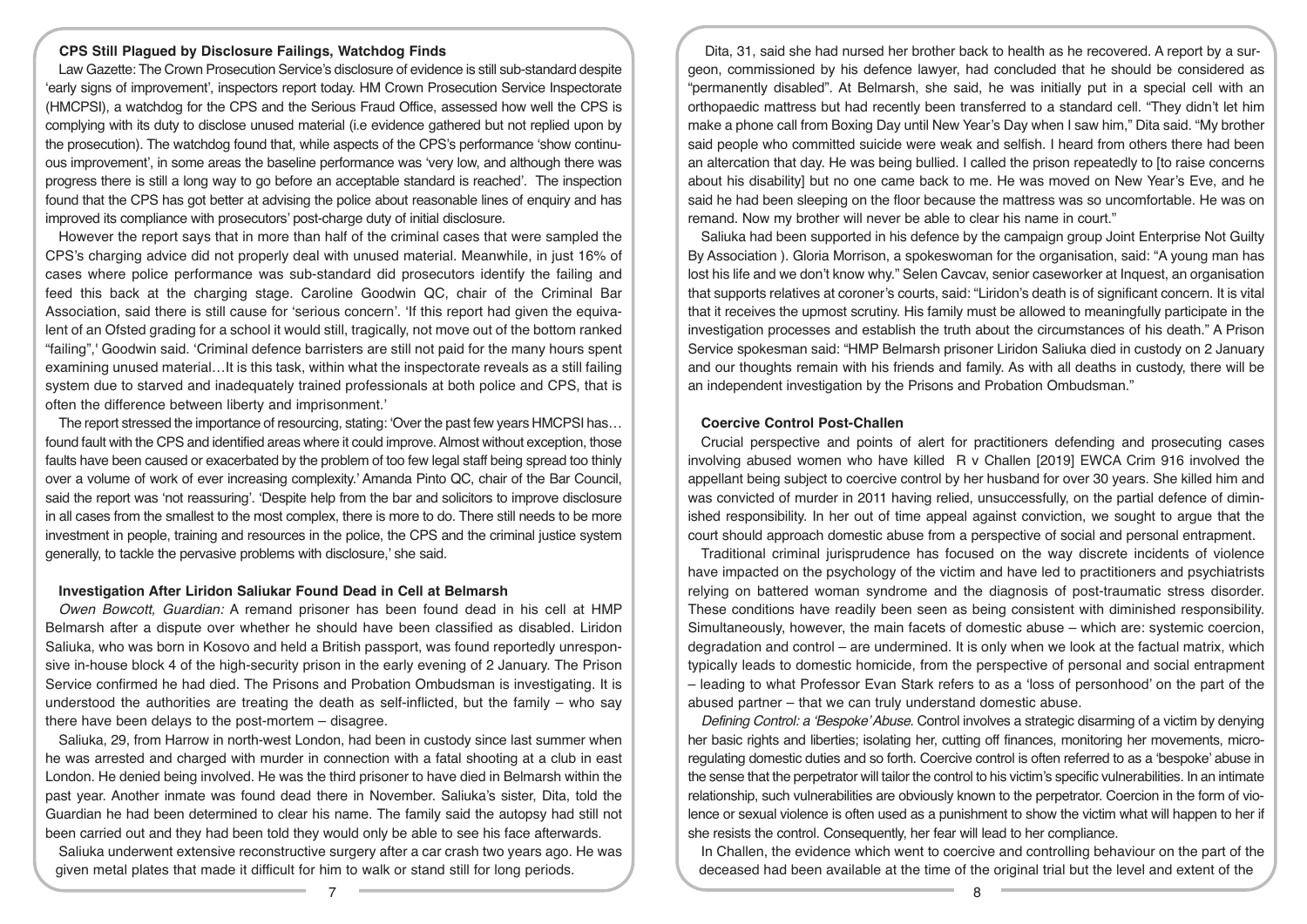#### **CPS Still Plagued by Disclosure Failings, Watchdog Finds**

Law Gazette: The Crown Prosecution Service's disclosure of evidence is still sub-standard despite 'early signs of improvement', inspectors report today. HM Crown Prosecution Service Inspectorate (HMCPSI), a watchdog for the CPS and the Serious Fraud Office, assessed how well the CPS is complying with its duty to disclose unused material (i.e evidence gathered but not replied upon by the prosecution). The watchdog found that, while aspects of the CPS's performance 'show continuous improvement', in some areas the baseline performance was 'very low, and although there was progress there is still a long way to go before an acceptable standard is reached'. The inspection found that the CPS has got better at advising the police about reasonable lines of enquiry and has improved its compliance with prosecutors' post-charge duty of initial disclosure.

However the report says that in more than half of the criminal cases that were sampled the CPS's charging advice did not properly deal with unused material. Meanwhile, in just 16% of cases where police performance was sub-standard did prosecutors identify the failing and feed this back at the charging stage. Caroline Goodwin QC, chair of the Criminal Bar Association, said there is still cause for 'serious concern'. 'If this report had given the equivalent of an Ofsted grading for a school it would still, tragically, not move out of the bottom ranked "failing",' Goodwin said. 'Criminal defence barristers are still not paid for the many hours spent examining unused material…It is this task, within what the inspectorate reveals as a still failing system due to starved and inadequately trained professionals at both police and CPS, that is often the difference between liberty and imprisonment.'

The report stressed the importance of resourcing, stating: 'Over the past few years HMCPSI has… found fault with the CPS and identified areas where it could improve. Almost without exception, those faults have been caused or exacerbated by the problem of too few legal staff being spread too thinly over a volume of work of ever increasing complexity.' Amanda Pinto QC, chair of the Bar Council, said the report was 'not reassuring'. 'Despite help from the bar and solicitors to improve disclosure in all cases from the smallest to the most complex, there is more to do. There still needs to be more investment in people, training and resources in the police, the CPS and the criminal justice system generally, to tackle the pervasive problems with disclosure,' she said.

## **Investigation After Liridon Saliukar Found Dead in Cell at Belmarsh**

Owen Bowcott, Guardian: A remand prisoner has been found dead in his cell at HMP Belmarsh after a dispute over whether he should have been classified as disabled. Liridon Saliuka, who was born in Kosovo and held a British passport, was found reportedly unresponsive in-house block 4 of the high-security prison in the early evening of 2 January. The Prison Service confirmed he had died. The Prisons and Probation Ombudsman is investigating. It is understood the authorities are treating the death as self-inflicted, but the family  $-$  who say there have been delays to the post-mortem – disagree.

Saliuka, 29, from Harrow in north-west London, had been in custody since last summer when he was arrested and charged with murder in connection with a fatal shooting at a club in east London. He denied being involved. He was the third prisoner to have died in Belmarsh within the past year. Another inmate was found dead there in November. Saliuka's sister, Dita, told the Guardian he had been determined to clear his name. The family said the autopsy had still not been carried out and they had been told they would only be able to see his face afterwards.

Saliuka underwent extensive reconstructive surgery after a car crash two years ago. He was given metal plates that made it difficult for him to walk or stand still for long periods.

Dita, 31, said she had nursed her brother back to health as he recovered. A report by a surgeon, commissioned by his defence lawyer, had concluded that he should be considered as "permanently disabled". At Belmarsh, she said, he was initially put in a special cell with an orthopaedic mattress but had recently been transferred to a standard cell. "They didn't let him make a phone call from Boxing Day until New Year's Day when I saw him," Dita said. "My brother said people who committed suicide were weak and selfish. I heard from others there had been an altercation that day. He was being bullied. I called the prison repeatedly to [to raise concerns about his disability] but no one came back to me. He was moved on New Year's Eve, and he said he had been sleeping on the floor because the mattress was so uncomfortable. He was on remand. Now my brother will never be able to clear his name in court."

Saliuka had been supported in his defence by the campaign group Joint Enterprise Not Guilty By Association ). Gloria Morrison, a spokeswoman for the organisation, said: "A young man has lost his life and we don't know why." Selen Cavcav, senior caseworker at Inquest, an organisation that supports relatives at coroner's courts, said: "Liridon's death is of significant concern. It is vital that it receives the upmost scrutiny. His family must be allowed to meaningfully participate in the investigation processes and establish the truth about the circumstances of his death." A Prison Service spokesman said: "HMP Belmarsh prisoner Liridon Saliuka died in custody on 2 January and our thoughts remain with his friends and family. As with all deaths in custody, there will be an independent investigation by the Prisons and Probation Ombudsman."

## **Coercive Control Post-Challen**

Crucial perspective and points of alert for practitioners defending and prosecuting cases involving abused women who have killed R v Challen [2019] EWCA Crim 916 involved the appellant being subject to coercive control by her husband for over 30 years. She killed him and was convicted of murder in 2011 having relied, unsuccessfully, on the partial defence of diminished responsibility. In her out of time appeal against conviction, we sought to argue that the court should approach domestic abuse from a perspective of social and personal entrapment.

Traditional criminal jurisprudence has focused on the way discrete incidents of violence have impacted on the psychology of the victim and have led to practitioners and psychiatrists relying on battered woman syndrome and the diagnosis of post-traumatic stress disorder. These conditions have readily been seen as being consistent with diminished responsibility. Simultaneously, however, the main facets of domestic abuse – which are: systemic coercion, degradation and control – are undermined. It is only when we look at the factual matrix, which typically leads to domestic homicide, from the perspective of personal and social entrapment – leading to what Professor Evan Stark refers to as a 'loss of personhood' on the part of the abused partner – that we can truly understand domestic abuse.

Defining Control: a 'Bespoke' Abuse. Control involves a strategic disarming of a victim by denying her basic rights and liberties; isolating her, cutting off finances, monitoring her movements, microregulating domestic duties and so forth. Coercive control is often referred to as a 'bespoke' abuse in the sense that the perpetrator will tailor the control to his victim's specific vulnerabilities. In an intimate relationship, such vulnerabilities are obviously known to the perpetrator. Coercion in the form of violence or sexual violence is often used as a punishment to show the victim what will happen to her if she resists the control. Consequently, her fear will lead to her compliance.

In Challen, the evidence which went to coercive and controlling behaviour on the part of the deceased had been available at the time of the original trial but the level and extent of the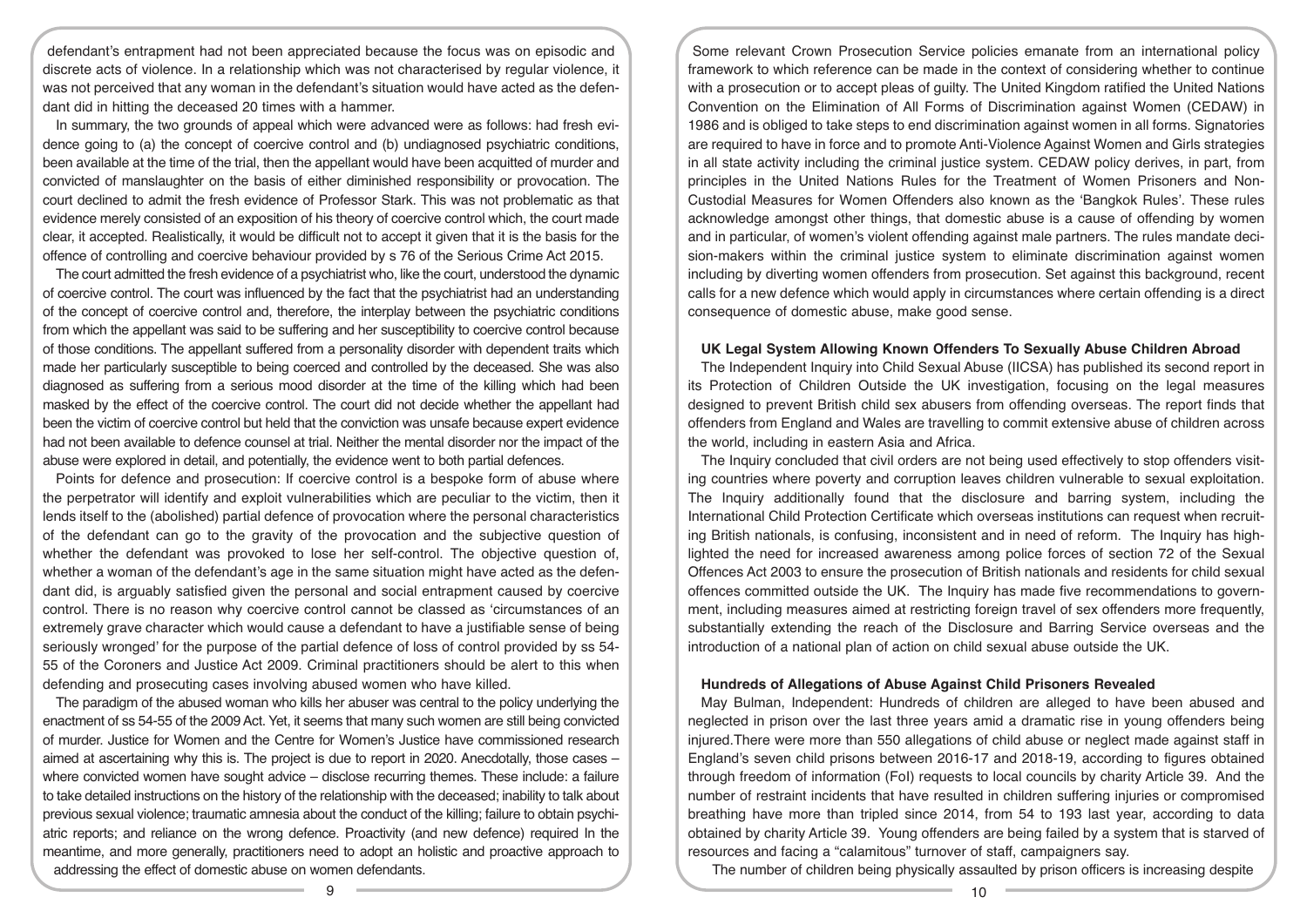defendant's entrapment had not been appreciated because the focus was on episodic and discrete acts of violence. In a relationship which was not characterised by regular violence, it was not perceived that any woman in the defendant's situation would have acted as the defendant did in hitting the deceased 20 times with a hammer.

In summary, the two grounds of appeal which were advanced were as follows: had fresh evidence going to (a) the concept of coercive control and (b) undiagnosed psychiatric conditions, been available at the time of the trial, then the appellant would have been acquitted of murder and convicted of manslaughter on the basis of either diminished responsibility or provocation. The court declined to admit the fresh evidence of Professor Stark. This was not problematic as that evidence merely consisted of an exposition of his theory of coercive control which, the court made clear, it accepted. Realistically, it would be difficult not to accept it given that it is the basis for the offence of controlling and coercive behaviour provided by s 76 of the Serious Crime Act 2015.

The court admitted the fresh evidence of a psychiatrist who, like the court, understood the dynamic of coercive control. The court was influenced by the fact that the psychiatrist had an understanding of the concept of coercive control and, therefore, the interplay between the psychiatric conditions from which the appellant was said to be suffering and her susceptibility to coercive control because of those conditions. The appellant suffered from a personality disorder with dependent traits which made her particularly susceptible to being coerced and controlled by the deceased. She was also diagnosed as suffering from a serious mood disorder at the time of the killing which had been masked by the effect of the coercive control. The court did not decide whether the appellant had been the victim of coercive control but held that the conviction was unsafe because expert evidence had not been available to defence counsel at trial. Neither the mental disorder nor the impact of the abuse were explored in detail, and potentially, the evidence went to both partial defences.

Points for defence and prosecution: If coercive control is a bespoke form of abuse where the perpetrator will identify and exploit vulnerabilities which are peculiar to the victim, then it lends itself to the (abolished) partial defence of provocation where the personal characteristics of the defendant can go to the gravity of the provocation and the subjective question of whether the defendant was provoked to lose her self-control. The objective question of, whether a woman of the defendant's age in the same situation might have acted as the defendant did, is arguably satisfied given the personal and social entrapment caused by coercive control. There is no reason why coercive control cannot be classed as 'circumstances of an extremely grave character which would cause a defendant to have a justifiable sense of being seriously wronged' for the purpose of the partial defence of loss of control provided by ss 54- 55 of the Coroners and Justice Act 2009. Criminal practitioners should be alert to this when defending and prosecuting cases involving abused women who have killed.

The paradigm of the abused woman who kills her abuser was central to the policy underlying the enactment of ss 54-55 of the 2009 Act. Yet, it seems that many such women are still being convicted of murder. Justice for Women and the Centre for Women's Justice have commissioned research aimed at ascertaining why this is. The project is due to report in 2020. Anecdotally, those cases – where convicted women have sought advice – disclose recurring themes. These include: a failure to take detailed instructions on the history of the relationship with the deceased; inability to talk about previous sexual violence; traumatic amnesia about the conduct of the killing; failure to obtain psychiatric reports; and reliance on the wrong defence. Proactivity (and new defence) required In the meantime, and more generally, practitioners need to adopt an holistic and proactive approach to addressing the effect of domestic abuse on women defendants.

Some relevant Crown Prosecution Service policies emanate from an international policy framework to which reference can be made in the context of considering whether to continue with a prosecution or to accept pleas of guilty. The United Kingdom ratified the United Nations Convention on the Elimination of All Forms of Discrimination against Women (CEDAW) in 1986 and is obliged to take steps to end discrimination against women in all forms. Signatories are required to have in force and to promote Anti-Violence Against Women and Girls strategies in all state activity including the criminal justice system. CEDAW policy derives, in part, from principles in the United Nations Rules for the Treatment of Women Prisoners and Non-Custodial Measures for Women Offenders also known as the 'Bangkok Rules'. These rules acknowledge amongst other things, that domestic abuse is a cause of offending by women and in particular, of women's violent offending against male partners. The rules mandate decision-makers within the criminal justice system to eliminate discrimination against women including by diverting women offenders from prosecution. Set against this background, recent calls for a new defence which would apply in circumstances where certain offending is a direct consequence of domestic abuse, make good sense.

#### **UK Legal System Allowing Known Offenders To Sexually Abuse Children Abroad**

The Independent Inquiry into Child Sexual Abuse (IICSA) has published its second report in its Protection of Children Outside the UK investigation, focusing on the legal measures designed to prevent British child sex abusers from offending overseas. The report finds that offenders from England and Wales are travelling to commit extensive abuse of children across the world, including in eastern Asia and Africa.

The Inquiry concluded that civil orders are not being used effectively to stop offenders visiting countries where poverty and corruption leaves children vulnerable to sexual exploitation. The Inquiry additionally found that the disclosure and barring system, including the International Child Protection Certificate which overseas institutions can request when recruiting British nationals, is confusing, inconsistent and in need of reform. The Inquiry has highlighted the need for increased awareness among police forces of section 72 of the Sexual Offences Act 2003 to ensure the prosecution of British nationals and residents for child sexual offences committed outside the UK. The Inquiry has made five recommendations to government, including measures aimed at restricting foreign travel of sex offenders more frequently, substantially extending the reach of the Disclosure and Barring Service overseas and the introduction of a national plan of action on child sexual abuse outside the UK.

# **Hundreds of Allegations of Abuse Against Child Prisoners Revealed**

May Bulman, Independent: Hundreds of children are alleged to have been abused and neglected in prison over the last three years amid a dramatic rise in young offenders being injured.There were more than 550 allegations of child abuse or neglect made against staff in England's seven child prisons between 2016-17 and 2018-19, according to figures obtained through freedom of information (FoI) requests to local councils by charity Article 39. And the number of restraint incidents that have resulted in children suffering injuries or compromised breathing have more than tripled since 2014, from 54 to 193 last year, according to data obtained by charity Article 39. Young offenders are being failed by a system that is starved of resources and facing a "calamitous" turnover of staff, campaigners say.

The number of children being physically assaulted by prison officers is increasing despite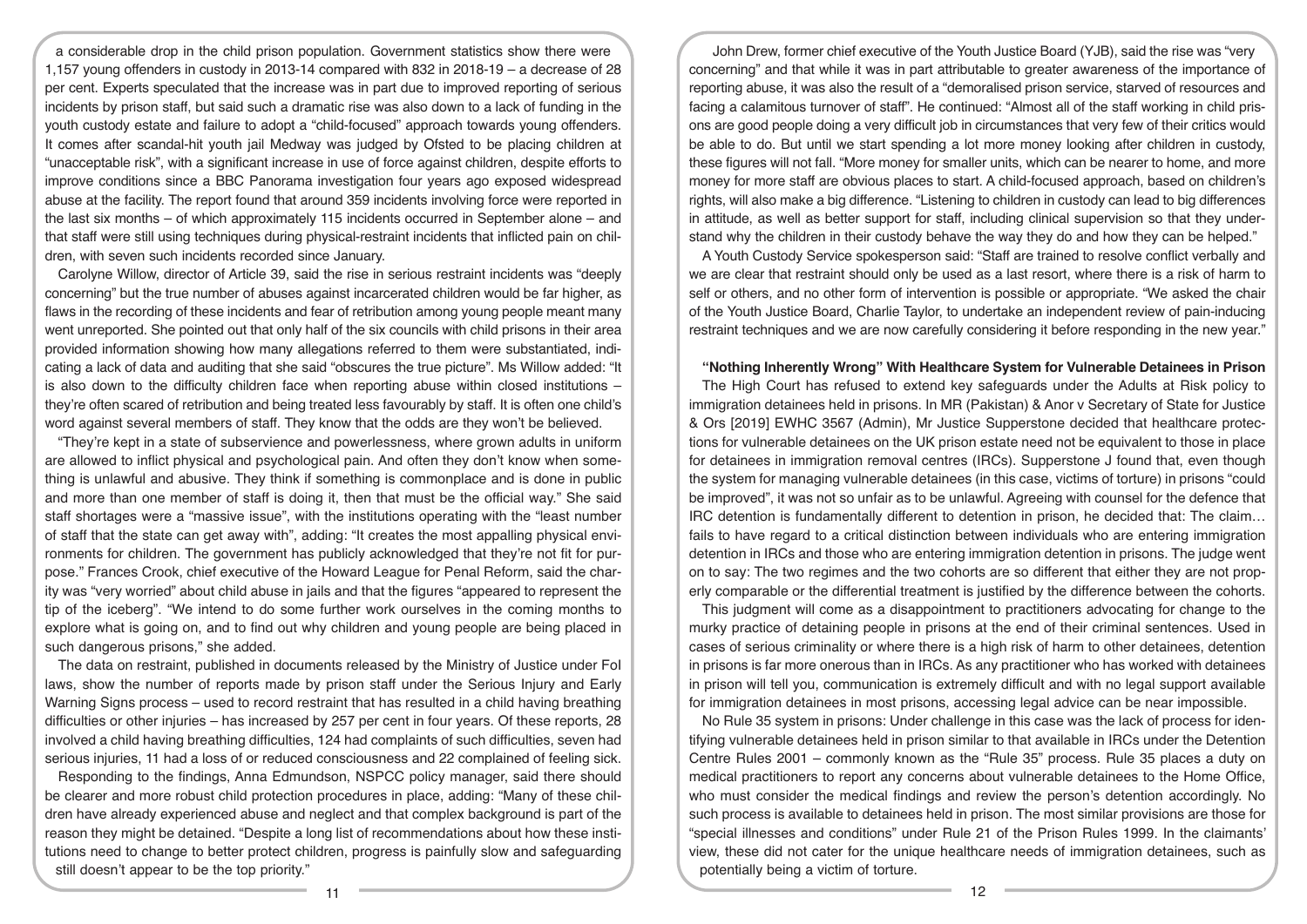a considerable drop in the child prison population. Government statistics show there were 1,157 young offenders in custody in 2013-14 compared with 832 in 2018-19 – a decrease of 28 per cent. Experts speculated that the increase was in part due to improved reporting of serious incidents by prison staff, but said such a dramatic rise was also down to a lack of funding in the youth custody estate and failure to adopt a "child-focused" approach towards young offenders. It comes after scandal-hit youth jail Medway was judged by Ofsted to be placing children at "unacceptable risk", with a significant increase in use of force against children, despite efforts to improve conditions since a BBC Panorama investigation four years ago exposed widespread abuse at the facility. The report found that around 359 incidents involving force were reported in the last six months – of which approximately 115 incidents occurred in September alone – and that staff were still using techniques during physical-restraint incidents that inflicted pain on children, with seven such incidents recorded since January.

Carolyne Willow, director of Article 39, said the rise in serious restraint incidents was "deeply concerning" but the true number of abuses against incarcerated children would be far higher, as flaws in the recording of these incidents and fear of retribution among young people meant many went unreported. She pointed out that only half of the six councils with child prisons in their area provided information showing how many allegations referred to them were substantiated, indicating a lack of data and auditing that she said "obscures the true picture". Ms Willow added: "It is also down to the difficulty children face when reporting abuse within closed institutions – they're often scared of retribution and being treated less favourably by staff. It is often one child's word against several members of staff. They know that the odds are they won't be believed.

"They're kept in a state of subservience and powerlessness, where grown adults in uniform are allowed to inflict physical and psychological pain. And often they don't know when something is unlawful and abusive. They think if something is commonplace and is done in public and more than one member of staff is doing it, then that must be the official way." She said staff shortages were a "massive issue", with the institutions operating with the "least number of staff that the state can get away with", adding: "It creates the most appalling physical environments for children. The government has publicly acknowledged that they're not fit for purpose." Frances Crook, chief executive of the Howard League for Penal Reform, said the charity was "very worried" about child abuse in jails and that the figures "appeared to represent the tip of the iceberg". "We intend to do some further work ourselves in the coming months to explore what is going on, and to find out why children and young people are being placed in such dangerous prisons," she added.

The data on restraint, published in documents released by the Ministry of Justice under FoI laws, show the number of reports made by prison staff under the Serious Injury and Early Warning Signs process – used to record restraint that has resulted in a child having breathing difficulties or other injuries – has increased by 257 per cent in four years. Of these reports, 28 involved a child having breathing difficulties, 124 had complaints of such difficulties, seven had serious injuries, 11 had a loss of or reduced consciousness and 22 complained of feeling sick.

Responding to the findings, Anna Edmundson, NSPCC policy manager, said there should be clearer and more robust child protection procedures in place, adding: "Many of these children have already experienced abuse and neglect and that complex background is part of the reason they might be detained. "Despite a long list of recommendations about how these institutions need to change to better protect children, progress is painfully slow and safeguarding still doesn't appear to be the top priority."

John Drew, former chief executive of the Youth Justice Board (YJB), said the rise was "very concerning" and that while it was in part attributable to greater awareness of the importance of reporting abuse, it was also the result of a "demoralised prison service, starved of resources and facing a calamitous turnover of staff". He continued: "Almost all of the staff working in child prisons are good people doing a very difficult job in circumstances that very few of their critics would be able to do. But until we start spending a lot more money looking after children in custody, these figures will not fall. "More money for smaller units, which can be nearer to home, and more money for more staff are obvious places to start. A child-focused approach, based on children's rights, will also make a big difference. "Listening to children in custody can lead to big differences in attitude, as well as better support for staff, including clinical supervision so that they understand why the children in their custody behave the way they do and how they can be helped."

A Youth Custody Service spokesperson said: "Staff are trained to resolve conflict verbally and we are clear that restraint should only be used as a last resort, where there is a risk of harm to self or others, and no other form of intervention is possible or appropriate. "We asked the chair of the Youth Justice Board, Charlie Taylor, to undertake an independent review of pain-inducing restraint techniques and we are now carefully considering it before responding in the new year."

## **"Nothing Inherently Wrong" With Healthcare System for Vulnerable Detainees in Prison**

The High Court has refused to extend key safeguards under the Adults at Risk policy to immigration detainees held in prisons. In MR (Pakistan) & Anor v Secretary of State for Justice & Ors [2019] EWHC 3567 (Admin), Mr Justice Supperstone decided that healthcare protections for vulnerable detainees on the UK prison estate need not be equivalent to those in place for detainees in immigration removal centres (IRCs). Supperstone J found that, even though the system for managing vulnerable detainees (in this case, victims of torture) in prisons "could be improved", it was not so unfair as to be unlawful. Agreeing with counsel for the defence that IRC detention is fundamentally different to detention in prison, he decided that: The claim… fails to have regard to a critical distinction between individuals who are entering immigration detention in IRCs and those who are entering immigration detention in prisons. The judge went on to say: The two regimes and the two cohorts are so different that either they are not properly comparable or the differential treatment is justified by the difference between the cohorts.

This judgment will come as a disappointment to practitioners advocating for change to the murky practice of detaining people in prisons at the end of their criminal sentences. Used in cases of serious criminality or where there is a high risk of harm to other detainees, detention in prisons is far more onerous than in IRCs. As any practitioner who has worked with detainees in prison will tell you, communication is extremely difficult and with no legal support available for immigration detainees in most prisons, accessing legal advice can be near impossible.

No Rule 35 system in prisons: Under challenge in this case was the lack of process for identifying vulnerable detainees held in prison similar to that available in IRCs under the Detention Centre Rules 2001 – commonly known as the "Rule 35" process. Rule 35 places a duty on medical practitioners to report any concerns about vulnerable detainees to the Home Office, who must consider the medical findings and review the person's detention accordingly. No such process is available to detainees held in prison. The most similar provisions are those for "special illnesses and conditions" under Rule 21 of the Prison Rules 1999. In the claimants' view, these did not cater for the unique healthcare needs of immigration detainees, such as potentially being a victim of torture.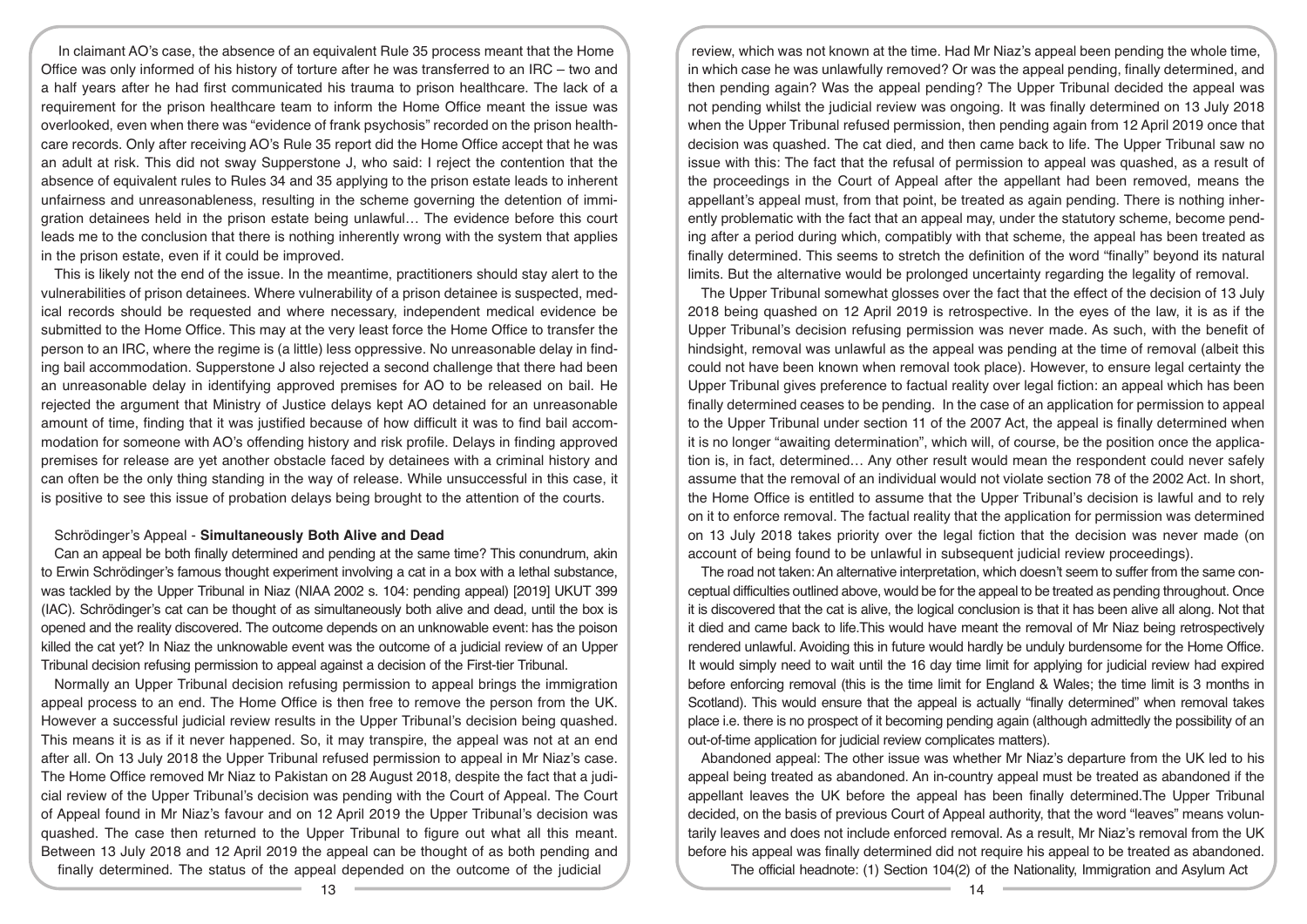In claimant AO's case, the absence of an equivalent Rule 35 process meant that the Home Office was only informed of his history of torture after he was transferred to an IRC – two and a half years after he had first communicated his trauma to prison healthcare. The lack of a requirement for the prison healthcare team to inform the Home Office meant the issue was overlooked, even when there was "evidence of frank psychosis" recorded on the prison healthcare records. Only after receiving AO's Rule 35 report did the Home Office accept that he was an adult at risk. This did not sway Supperstone J, who said: I reject the contention that the absence of equivalent rules to Rules 34 and 35 applying to the prison estate leads to inherent unfairness and unreasonableness, resulting in the scheme governing the detention of immigration detainees held in the prison estate being unlawful… The evidence before this court leads me to the conclusion that there is nothing inherently wrong with the system that applies in the prison estate, even if it could be improved.

This is likely not the end of the issue. In the meantime, practitioners should stay alert to the vulnerabilities of prison detainees. Where vulnerability of a prison detainee is suspected, medical records should be requested and where necessary, independent medical evidence be submitted to the Home Office. This may at the very least force the Home Office to transfer the person to an IRC, where the regime is (a little) less oppressive. No unreasonable delay in finding bail accommodation. Supperstone J also rejected a second challenge that there had been an unreasonable delay in identifying approved premises for AO to be released on bail. He rejected the argument that Ministry of Justice delays kept AO detained for an unreasonable amount of time, finding that it was justified because of how difficult it was to find bail accommodation for someone with AO's offending history and risk profile. Delays in finding approved premises for release are yet another obstacle faced by detainees with a criminal history and can often be the only thing standing in the way of release. While unsuccessful in this case, it is positive to see this issue of probation delays being brought to the attention of the courts.

# Schrödinger's Appeal - **Simultaneously Both Alive and Dead**

Can an appeal be both finally determined and pending at the same time? This conundrum, akin to Erwin Schrödinger's famous thought experiment involving a cat in a box with a lethal substance, was tackled by the Upper Tribunal in Niaz (NIAA 2002 s. 104: pending appeal) [2019] UKUT 399 (IAC). Schrödinger's cat can be thought of as simultaneously both alive and dead, until the box is opened and the reality discovered. The outcome depends on an unknowable event: has the poison killed the cat yet? In Niaz the unknowable event was the outcome of a judicial review of an Upper Tribunal decision refusing permission to appeal against a decision of the First-tier Tribunal.

Normally an Upper Tribunal decision refusing permission to appeal brings the immigration appeal process to an end. The Home Office is then free to remove the person from the UK. However a successful judicial review results in the Upper Tribunal's decision being quashed. This means it is as if it never happened. So, it may transpire, the appeal was not at an end after all. On 13 July 2018 the Upper Tribunal refused permission to appeal in Mr Niaz's case. The Home Office removed Mr Niaz to Pakistan on 28 August 2018, despite the fact that a judicial review of the Upper Tribunal's decision was pending with the Court of Appeal. The Court of Appeal found in Mr Niaz's favour and on 12 April 2019 the Upper Tribunal's decision was quashed. The case then returned to the Upper Tribunal to figure out what all this meant. Between 13 July 2018 and 12 April 2019 the appeal can be thought of as both pending and finally determined. The status of the appeal depended on the outcome of the judicial

review, which was not known at the time. Had Mr Niaz's appeal been pending the whole time, in which case he was unlawfully removed? Or was the appeal pending, finally determined, and then pending again? Was the appeal pending? The Upper Tribunal decided the appeal was not pending whilst the judicial review was ongoing. It was finally determined on 13 July 2018 when the Upper Tribunal refused permission, then pending again from 12 April 2019 once that decision was quashed. The cat died, and then came back to life. The Upper Tribunal saw no issue with this: The fact that the refusal of permission to appeal was quashed, as a result of the proceedings in the Court of Appeal after the appellant had been removed, means the appellant's appeal must, from that point, be treated as again pending. There is nothing inherently problematic with the fact that an appeal may, under the statutory scheme, become pending after a period during which, compatibly with that scheme, the appeal has been treated as finally determined. This seems to stretch the definition of the word "finally" beyond its natural limits. But the alternative would be prolonged uncertainty regarding the legality of removal.

The Upper Tribunal somewhat glosses over the fact that the effect of the decision of 13 July 2018 being quashed on 12 April 2019 is retrospective. In the eyes of the law, it is as if the Upper Tribunal's decision refusing permission was never made. As such, with the benefit of hindsight, removal was unlawful as the appeal was pending at the time of removal (albeit this could not have been known when removal took place). However, to ensure legal certainty the Upper Tribunal gives preference to factual reality over legal fiction: an appeal which has been finally determined ceases to be pending. In the case of an application for permission to appeal to the Upper Tribunal under section 11 of the 2007 Act, the appeal is finally determined when it is no longer "awaiting determination", which will, of course, be the position once the application is, in fact, determined… Any other result would mean the respondent could never safely assume that the removal of an individual would not violate section 78 of the 2002 Act. In short, the Home Office is entitled to assume that the Upper Tribunal's decision is lawful and to rely on it to enforce removal. The factual reality that the application for permission was determined on 13 July 2018 takes priority over the legal fiction that the decision was never made (on account of being found to be unlawful in subsequent judicial review proceedings).

The road not taken: An alternative interpretation, which doesn't seem to suffer from the same conceptual difficulties outlined above, would be for the appeal to be treated as pending throughout. Once it is discovered that the cat is alive, the logical conclusion is that it has been alive all along. Not that it died and came back to life.This would have meant the removal of Mr Niaz being retrospectively rendered unlawful. Avoiding this in future would hardly be unduly burdensome for the Home Office. It would simply need to wait until the 16 day time limit for applying for judicial review had expired before enforcing removal (this is the time limit for England & Wales; the time limit is 3 months in Scotland). This would ensure that the appeal is actually "finally determined" when removal takes place i.e. there is no prospect of it becoming pending again (although admittedly the possibility of an out-of-time application for judicial review complicates matters).

Abandoned appeal: The other issue was whether Mr Niaz's departure from the UK led to his appeal being treated as abandoned. An in-country appeal must be treated as abandoned if the appellant leaves the UK before the appeal has been finally determined.The Upper Tribunal decided, on the basis of previous Court of Appeal authority, that the word "leaves" means voluntarily leaves and does not include enforced removal. As a result, Mr Niaz's removal from the UK before his appeal was finally determined did not require his appeal to be treated as abandoned.

The official headnote: (1) Section 104(2) of the Nationality, Immigration and Asylum Act